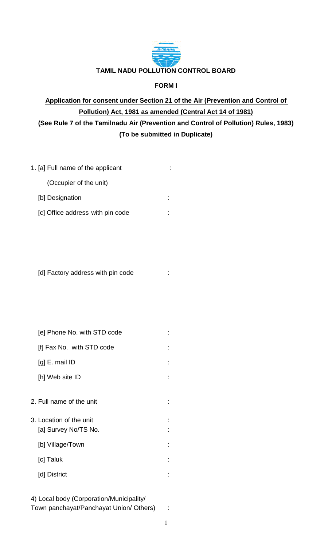

### **FORM I**

# **Application for consent under Section 21 of the Air (Prevention and Control of Pollution) Act, 1981 as amended (Central Act 14 of 1981) (See Rule 7 of the Tamilnadu Air (Prevention and Control of Pollution) Rules, 1983) (To be submitted in Duplicate)**

| 1. [a] Full name of the applicant |  |
|-----------------------------------|--|
| (Occupier of the unit)            |  |
| [b] Designation                   |  |
| [c] Office address with pin code  |  |

[d] Factory address with pin code :

| [e] Phone No. with STD code                     |  |
|-------------------------------------------------|--|
| [f] Fax No. with STD code                       |  |
| $[g]$ E. mail ID                                |  |
| [h] Web site ID                                 |  |
| 2. Full name of the unit                        |  |
| 3. Location of the unit<br>[a] Survey No/TS No. |  |
| [b] Village/Town                                |  |
| [c] Taluk                                       |  |
| [d] District                                    |  |

| 4) Local body (Corporation/Municipality/ |  |
|------------------------------------------|--|
| Town panchayat/Panchayat Union/ Others)  |  |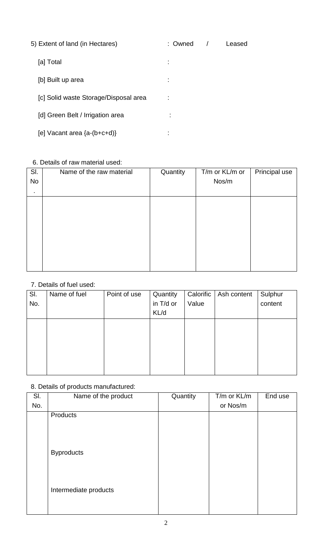| 5) Extent of land (in Hectares)       | : Owned | Leased |
|---------------------------------------|---------|--------|
| [a] Total                             |         |        |
| [b] Built up area                     |         |        |
| [c] Solid waste Storage/Disposal area |         |        |
| [d] Green Belt / Irrigation area      | ٠       |        |
| [e] Vacant area $\{a-(b+c+d)\}$       | ٠       |        |

### 6. Details of raw material used:

| SI. | Name of the raw material | Quantity | T/m or KL/m or | Principal use |
|-----|--------------------------|----------|----------------|---------------|
| No  |                          |          | Nos/m          |               |
| ٠   |                          |          |                |               |
|     |                          |          |                |               |
|     |                          |          |                |               |
|     |                          |          |                |               |
|     |                          |          |                |               |
|     |                          |          |                |               |
|     |                          |          |                |               |
|     |                          |          |                |               |
|     |                          |          |                |               |

## 7. Details of fuel used:

| SI. | Name of fuel | Point of use | Quantity  | Calorific | Ash content | Sulphur |
|-----|--------------|--------------|-----------|-----------|-------------|---------|
| No. |              |              | in T/d or | Value     |             | content |
|     |              |              | KL/d      |           |             |         |
|     |              |              |           |           |             |         |
|     |              |              |           |           |             |         |
|     |              |              |           |           |             |         |
|     |              |              |           |           |             |         |
|     |              |              |           |           |             |         |
|     |              |              |           |           |             |         |

# 8. Details of products manufactured: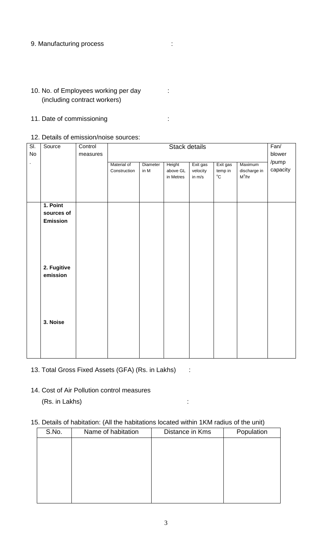#### 9. Manufacturing process in the control of the control of the control of the control of the control of the control of the control of the control of the control of the control of the control of the control of the control of

- 10. No. of Employees working per day : (including contract workers)
- 11. Date of commissioning intervals of the state of  $\sim$
- 12. Details of emission/noise sources:

| $\overline{\mathsf{SI}}$ | Source      | Control  |              | Stack details |           |          |                      | Fan/         |          |
|--------------------------|-------------|----------|--------------|---------------|-----------|----------|----------------------|--------------|----------|
| $\mathsf{No}$            |             | measures |              |               |           |          |                      |              | blower   |
| $\blacksquare$           |             |          | Material of  | Diameter      | Height    | Exit gas | Exit gas             | Maximum      | /pump    |
|                          |             |          | Construction | in $M$        | above GL  | velocity | temp in              | discharge in | capacity |
|                          |             |          |              |               | in Metres | in $m/s$ | $^{\circ}\mathrm{C}$ | $M^3/hr$     |          |
|                          |             |          |              |               |           |          |                      |              |          |
|                          |             |          |              |               |           |          |                      |              |          |
|                          |             |          |              |               |           |          |                      |              |          |
|                          | 1. Point    |          |              |               |           |          |                      |              |          |
|                          | sources of  |          |              |               |           |          |                      |              |          |
|                          | Emission    |          |              |               |           |          |                      |              |          |
|                          |             |          |              |               |           |          |                      |              |          |
|                          |             |          |              |               |           |          |                      |              |          |
|                          |             |          |              |               |           |          |                      |              |          |
|                          |             |          |              |               |           |          |                      |              |          |
|                          |             |          |              |               |           |          |                      |              |          |
|                          | 2. Fugitive |          |              |               |           |          |                      |              |          |
|                          | emission    |          |              |               |           |          |                      |              |          |
|                          |             |          |              |               |           |          |                      |              |          |
|                          |             |          |              |               |           |          |                      |              |          |
|                          |             |          |              |               |           |          |                      |              |          |
|                          |             |          |              |               |           |          |                      |              |          |
|                          |             |          |              |               |           |          |                      |              |          |
|                          |             |          |              |               |           |          |                      |              |          |
|                          | 3. Noise    |          |              |               |           |          |                      |              |          |
|                          |             |          |              |               |           |          |                      |              |          |
|                          |             |          |              |               |           |          |                      |              |          |
|                          |             |          |              |               |           |          |                      |              |          |
|                          |             |          |              |               |           |          |                      |              |          |

- 13. Total Gross Fixed Assets (GFA) (Rs. in Lakhs) :
- 14. Cost of Air Pollution control measures (Rs. in Lakhs) :

### 15. Details of habitation: (All the habitations located within 1KM radius of the unit)

| S.No. | Name of habitation | Distance in Kms | Population |
|-------|--------------------|-----------------|------------|
|       |                    |                 |            |
|       |                    |                 |            |
|       |                    |                 |            |
|       |                    |                 |            |
|       |                    |                 |            |
|       |                    |                 |            |
|       |                    |                 |            |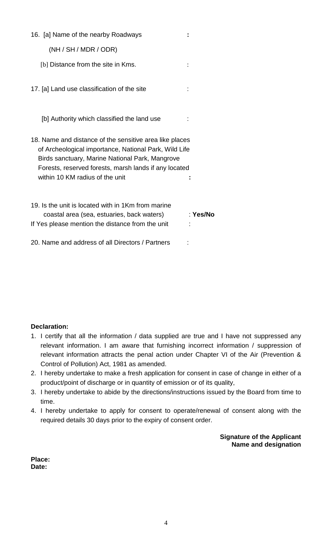| 16. [a] Name of the nearby Roadways                                                                                                                                                                                                                             |          |
|-----------------------------------------------------------------------------------------------------------------------------------------------------------------------------------------------------------------------------------------------------------------|----------|
| (NH / SH / MDR / ODR)                                                                                                                                                                                                                                           |          |
| [b] Distance from the site in Kms.                                                                                                                                                                                                                              |          |
| 17. [a] Land use classification of the site                                                                                                                                                                                                                     |          |
| [b] Authority which classified the land use                                                                                                                                                                                                                     |          |
| 18. Name and distance of the sensitive area like places<br>of Archeological importance, National Park, Wild Life<br>Birds sanctuary, Marine National Park, Mangrove<br>Forests, reserved forests, marsh lands if any located<br>within 10 KM radius of the unit |          |
| 19. Is the unit is located with in 1Km from marine<br>coastal area (sea, estuaries, back waters)<br>If Yes please mention the distance from the unit                                                                                                            | : Yes/No |
| 20. Name and address of all Directors / Partners                                                                                                                                                                                                                |          |

### **Declaration:**

- 1. I certify that all the information / data supplied are true and I have not suppressed any relevant information. I am aware that furnishing incorrect information / suppression of relevant information attracts the penal action under Chapter VI of the Air (Prevention & Control of Pollution) Act, 1981 as amended.
- 2. I hereby undertake to make a fresh application for consent in case of change in either of a product/point of discharge or in quantity of emission or of its quality,
- 3. I hereby undertake to abide by the directions/instructions issued by the Board from time to time.
- 4. I hereby undertake to apply for consent to operate/renewal of consent along with the required details 30 days prior to the expiry of consent order.

**Signature of the Applicant Name and designation** 

**Place: Date:**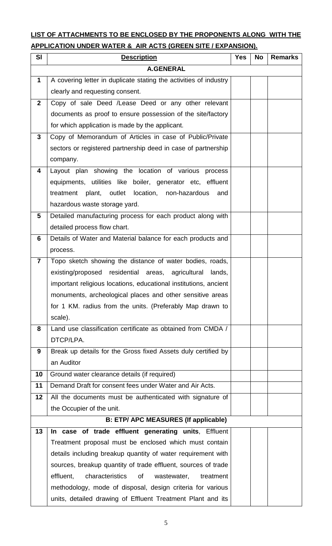# **LIST OF ATTACHMENTS TO BE ENCLOSED BY THE PROPONENTS ALONG WITH THE APPLICATION UNDER WATER & AIR ACTS (GREEN SITE / EXPANSION).**

| <b>SI</b>               | <b>Description</b>                                                | <b>Yes</b> | <b>No</b> | <b>Remarks</b> |
|-------------------------|-------------------------------------------------------------------|------------|-----------|----------------|
|                         | <b>A.GENERAL</b>                                                  |            |           |                |
| $\mathbf 1$             | A covering letter in duplicate stating the activities of industry |            |           |                |
|                         | clearly and requesting consent.                                   |            |           |                |
| $\mathbf{2}$            | Copy of sale Deed /Lease Deed or any other relevant               |            |           |                |
|                         | documents as proof to ensure possession of the site/factory       |            |           |                |
|                         | for which application is made by the applicant.                   |            |           |                |
| $\mathbf{3}$            | Copy of Memorandum of Articles in case of Public/Private          |            |           |                |
|                         | sectors or registered partnership deed in case of partnership     |            |           |                |
|                         | company.                                                          |            |           |                |
| 4                       | Layout plan showing the location of various process               |            |           |                |
|                         | equipments, utilities like boiler, generator etc, effluent        |            |           |                |
|                         | treatment plant, outlet location, non-hazardous<br>and            |            |           |                |
|                         | hazardous waste storage yard.                                     |            |           |                |
| 5                       | Detailed manufacturing process for each product along with        |            |           |                |
|                         | detailed process flow chart.                                      |            |           |                |
| 6                       | Details of Water and Material balance for each products and       |            |           |                |
|                         | process.                                                          |            |           |                |
| $\overline{\mathbf{7}}$ | Topo sketch showing the distance of water bodies, roads,          |            |           |                |
|                         | existing/proposed residential areas, agricultural<br>lands,       |            |           |                |
|                         | important religious locations, educational institutions, ancient  |            |           |                |
|                         | monuments, archeological places and other sensitive areas         |            |           |                |
|                         | for 1 KM. radius from the units. (Preferably Map drawn to         |            |           |                |
|                         | scale).                                                           |            |           |                |
| 8                       | Land use classification certificate as obtained from CMDA /       |            |           |                |
|                         | DTCP/LPA.                                                         |            |           |                |
| 9                       | Break up details for the Gross fixed Assets duly certified by     |            |           |                |
|                         | an Auditor                                                        |            |           |                |
| 10                      | Ground water clearance details (if required)                      |            |           |                |
| 11                      | Demand Draft for consent fees under Water and Air Acts.           |            |           |                |
| 12                      | All the documents must be authenticated with signature of         |            |           |                |
|                         | the Occupier of the unit.                                         |            |           |                |
|                         | <b>B: ETP/ APC MEASURES (If applicable)</b>                       |            |           |                |
| 13                      | In case of trade effluent generating units, Effluent              |            |           |                |
|                         | Treatment proposal must be enclosed which must contain            |            |           |                |
|                         | details including breakup quantity of water requirement with      |            |           |                |
|                         | sources, breakup quantity of trade effluent, sources of trade     |            |           |                |
|                         | characteristics<br>0f<br>effluent,<br>wastewater,<br>treatment    |            |           |                |
|                         | methodology, mode of disposal, design criteria for various        |            |           |                |
|                         | units, detailed drawing of Effluent Treatment Plant and its       |            |           |                |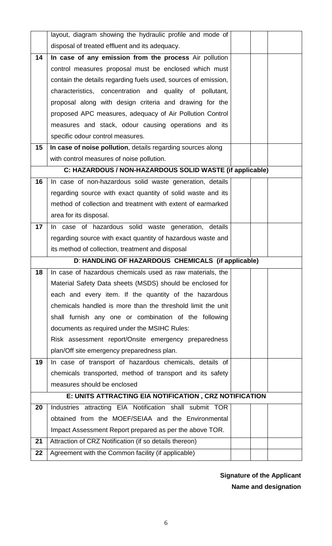|    | layout, diagram showing the hydraulic profile and mode of                                                         |  |  |
|----|-------------------------------------------------------------------------------------------------------------------|--|--|
|    | disposal of treated effluent and its adequacy.                                                                    |  |  |
|    |                                                                                                                   |  |  |
| 14 | In case of any emission from the process Air pollution                                                            |  |  |
|    | control measures proposal must be enclosed which must                                                             |  |  |
|    | contain the details regarding fuels used, sources of emission,                                                    |  |  |
|    | characteristics, concentration and quality of pollutant,                                                          |  |  |
|    | proposal along with design criteria and drawing for the                                                           |  |  |
|    | proposed APC measures, adequacy of Air Pollution Control                                                          |  |  |
|    | measures and stack, odour causing operations and its                                                              |  |  |
|    | specific odour control measures.                                                                                  |  |  |
| 15 | In case of noise pollution, details regarding sources along                                                       |  |  |
|    | with control measures of noise pollution.                                                                         |  |  |
|    | C: HAZARDOUS / NON-HAZARDOUS SOLID WASTE (if applicable)                                                          |  |  |
| 16 | In case of non-hazardous solid waste generation, details                                                          |  |  |
|    | regarding source with exact quantity of solid waste and its                                                       |  |  |
|    | method of collection and treatment with extent of earmarked                                                       |  |  |
|    | area for its disposal.                                                                                            |  |  |
| 17 | In case of hazardous solid waste generation, details                                                              |  |  |
|    | regarding source with exact quantity of hazardous waste and                                                       |  |  |
|    | its method of collection, treatment and disposal                                                                  |  |  |
|    | D: HANDLING OF HAZARDOUS CHEMICALS (if applicable)                                                                |  |  |
| 18 | In case of hazardous chemicals used as raw materials, the                                                         |  |  |
|    | Material Safety Data sheets (MSDS) should be enclosed for                                                         |  |  |
|    | each and every item. If the quantity of the hazardous                                                             |  |  |
|    | chemicals handled is more than the threshold limit the unit                                                       |  |  |
|    | shall furnish any one or combination of the following                                                             |  |  |
|    | documents as required under the MSIHC Rules:                                                                      |  |  |
|    | Risk assessment report/Onsite emergency preparedness                                                              |  |  |
|    | plan/Off site emergency preparedness plan.                                                                        |  |  |
| 19 | In case of transport of hazardous chemicals, details of                                                           |  |  |
|    |                                                                                                                   |  |  |
|    |                                                                                                                   |  |  |
|    | chemicals transported, method of transport and its safety<br>measures should be enclosed                          |  |  |
|    |                                                                                                                   |  |  |
| 20 | E: UNITS ATTRACTING EIA NOTIFICATION, CRZ NOTIFICATION<br>Industries attracting EIA Notification shall submit TOR |  |  |
|    | obtained from the MOEF/SEIAA and the Environmental                                                                |  |  |
|    |                                                                                                                   |  |  |
| 21 | Impact Assessment Report prepared as per the above TOR.<br>Attraction of CRZ Notification (if so details thereon) |  |  |
| 22 | Agreement with the Common facility (if applicable)                                                                |  |  |

 **Signature of the Applicant Name and designation**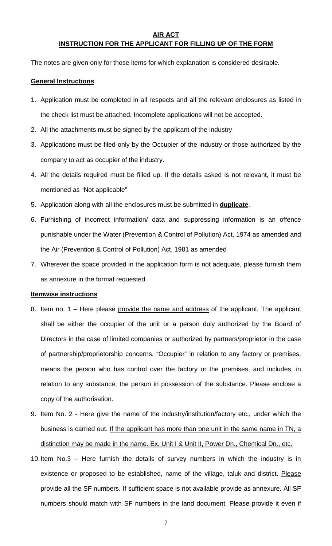#### **AIR ACT INSTRUCTION FOR THE APPLICANT FOR FILLING UP OF THE FORM**

The notes are given only for those items for which explanation is considered desirable.

#### **General Instructions**

- 1. Application must be completed in all respects and all the relevant enclosures as listed in the check list must be attached. Incomplete applications will not be accepted.
- 2. All the attachments must be signed by the applicant of the industry
- 3. Applications must be filed only by the Occupier of the industry or those authorized by the company to act as occupier of the industry.
- 4. All the details required must be filled up. If the details asked is not relevant, it must be mentioned as "Not applicable"
- 5. Application along with all the enclosures must be submitted in **duplicate**.
- 6. Furnishing of incorrect information/ data and suppressing information is an offence punishable under the Water (Prevention & Control of Pollution) Act, 1974 as amended and the Air (Prevention & Control of Pollution) Act, 1981 as amended
- 7. Wherever the space provided in the application form is not adequate, please furnish them as annexure in the format requested.

#### **Itemwise instructions**

- 8. Item no. 1 Here please provide the name and address of the applicant. The applicant shall be either the occupier of the unit or a person duly authorized by the Board of Directors in the case of limited companies or authorized by partners/proprietor in the case of partnership/proprietorship concerns. "Occupier" in relation to any factory or premises, means the person who has control over the factory or the premises, and includes, in relation to any substance, the person in possession of the substance. Please enclose a copy of the authorisation.
- 9. Item No. 2 Here give the name of the industry/institution/factory etc., under which the business is carried out. If the applicant has more than one unit in the same name in TN, a distinction may be made in the name. Ex. Unit I & Unit II, Power Dn., Chemical Dn., etc.
- 10. Item No.3 Here furnish the details of survey numbers in which the industry is in existence or proposed to be established, name of the village, taluk and district. Please provide all the SF numbers, If sufficient space is not available provide as annexure. All SF numbers should match with SF numbers in the land document. Please provide it even if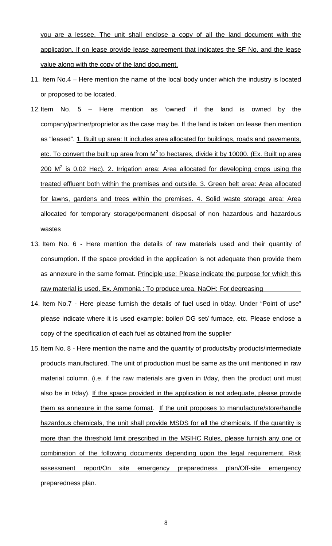you are a lessee. The unit shall enclose a copy of all the land document with the application. If on lease provide lease agreement that indicates the SF No. and the lease value along with the copy of the land document.

- 11. Item No.4 Here mention the name of the local body under which the industry is located or proposed to be located.
- 12. Item No. 5 Here mention as 'owned' if the land is owned by the company/partner/proprietor as the case may be. If the land is taken on lease then mention as "leased". 1. Built up area: It includes area allocated for buildings, roads and pavements, etc. To convert the built up area from  $M^2$  to hectares, divide it by 10000. (Ex. Built up area  $200$  M<sup>2</sup> is 0.02 Hec). 2. Irrigation area: Area allocated for developing crops using the treated effluent both within the premises and outside. 3. Green belt area: Area allocated for lawns, gardens and trees within the premises. 4. Solid waste storage area: Area allocated for temporary storage/permanent disposal of non hazardous and hazardous wastes
- 13. Item No. 6 Here mention the details of raw materials used and their quantity of consumption. If the space provided in the application is not adequate then provide them as annexure in the same format. Principle use: Please indicate the purpose for which this raw material is used. Ex. Ammonia : To produce urea, NaOH: For degreasing
- 14. Item No.7 Here please furnish the details of fuel used in t/day. Under "Point of use" please indicate where it is used example: boiler/ DG set/ furnace, etc. Please enclose a copy of the specification of each fuel as obtained from the supplier
- 15. Item No. 8 Here mention the name and the quantity of products/by products/intermediate products manufactured. The unit of production must be same as the unit mentioned in raw material column. (i.e. if the raw materials are given in t/day, then the product unit must also be in t/day). If the space provided in the application is not adequate, please provide them as annexure in the same format. If the unit proposes to manufacture/store/handle hazardous chemicals, the unit shall provide MSDS for all the chemicals. If the quantity is more than the threshold limit prescribed in the MSIHC Rules, please furnish any one or combination of the following documents depending upon the legal requirement. Risk assessment report/On site emergency preparedness plan/Off-site emergency preparedness plan.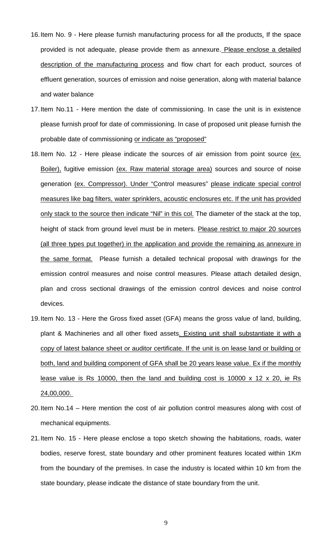- 16. Item No. 9 Here please furnish manufacturing process for all the products. If the space provided is not adequate, please provide them as annexure. Please enclose a detailed description of the manufacturing process and flow chart for each product, sources of effluent generation, sources of emission and noise generation, along with material balance and water balance
- 17. Item No.11 Here mention the date of commissioning. In case the unit is in existence please furnish proof for date of commissioning. In case of proposed unit please furnish the probable date of commissioning or indicate as "proposed"
- 18. Item No. 12 Here please indicate the sources of air emission from point source (ex. Boiler), fugitive emission (ex. Raw material storage area) sources and source of noise generation (ex. Compressor). Under "Control measures" please indicate special control measures like bag filters, water sprinklers, acoustic enclosures etc. If the unit has provided only stack to the source then indicate "Nil" in this col. The diameter of the stack at the top, height of stack from ground level must be in meters. Please restrict to major 20 sources (all three types put together) in the application and provide the remaining as annexure in the same format. Please furnish a detailed technical proposal with drawings for the emission control measures and noise control measures. Please attach detailed design, plan and cross sectional drawings of the emission control devices and noise control devices.
- 19. Item No. 13 Here the Gross fixed asset (GFA) means the gross value of land, building, plant & Machineries and all other fixed assets. Existing unit shall substantiate it with a copy of latest balance sheet or auditor certificate. If the unit is on lease land or building or both, land and building component of GFA shall be 20 years lease value. Ex if the monthly lease value is Rs 10000, then the land and building cost is 10000 x 12 x 20, ie Rs 24,00,000.
- 20. Item No.14 Here mention the cost of air pollution control measures along with cost of mechanical equipments.
- 21. Item No. 15 Here please enclose a topo sketch showing the habitations, roads, water bodies, reserve forest, state boundary and other prominent features located within 1Km from the boundary of the premises. In case the industry is located within 10 km from the state boundary, please indicate the distance of state boundary from the unit.